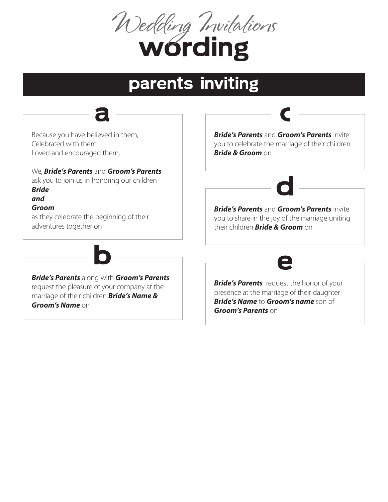

# parents inviting



Because you have believed in them, Celebrated with them Loved and encouraged them,

#### We, *Bride's Parents* and *Groom's Parents*

ask you to join us in honoring our children *Bride*

#### *and*

#### *Groom*

as they celebrate the beginning of their adventures together on

*Bride's Parents* along with *Groom's Parents* request the pleasure of your company at the marriage of their children *Bride's Name & Groom's Name* on

b

*Bride's Parents* and *Groom's Parents* invite you to celebrate the marriage of their children *Bride & Groom* on

c



*Bride's Parents* and *Groom's Parents* invite you to share in the joy of the marriage uniting their children *Bride & Groom* on



**Bride's Parents** request the honor of your presence at the marriage of their daughter *Bride's Name* to *Groom's name* son of *Groom's Parents* on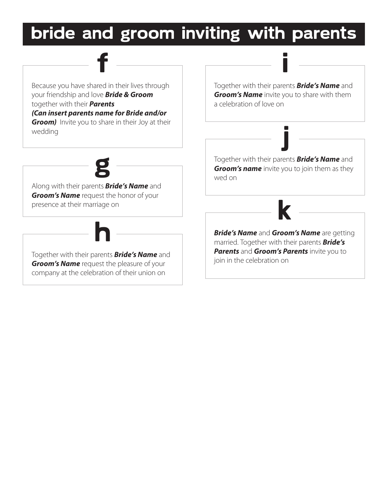

Because you have shared in their lives through your friendship and love *Bride & Groom* together with their *Parents (Can insert parents name for Bride and/or Groom)* Invite you to share in their Joy at their wedding

f

Along with their parents *Bride's Name* and *Groom's Name* request the honor of your presence at their marriage on

g

Together with their parents *Bride's Name* and *Groom's Name* request the pleasure of your company at the celebration of their union on

h

Together with their parents *Bride's Name* and *Groom's Name* invite you to share with them a celebration of love on

i

Together with their parents *Bride's Name* and *Groom's name* invite you to join them as they wed on

j



*Bride's Name* and *Groom's Name* are getting married. Together with their parents *Bride's Parents* and *Groom's Parents* invite you to join in the celebration on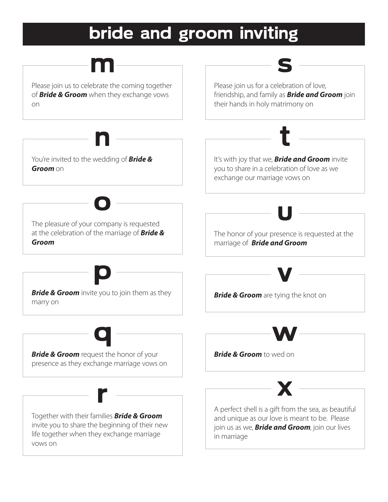## bride and groom inviting

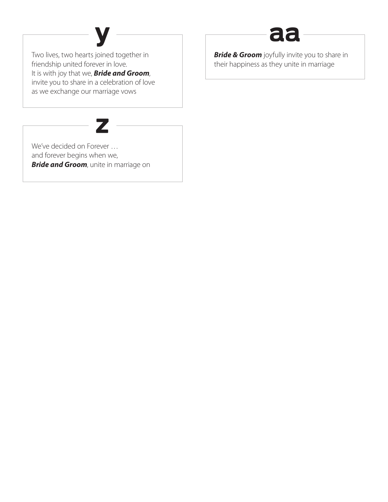# $y \longrightarrow \alpha$ aa

Two lives, two hearts joined together in friendship united forever in love. It is with joy that we, *Bride and Groom*, invite you to share in a celebration of love as we exchange our marriage vows



We've decided on Forever … and forever begins when we, *Bride and Groom*, unite in marriage on **Bride & Groom** joyfully invite you to share in their happiness as they unite in marriage